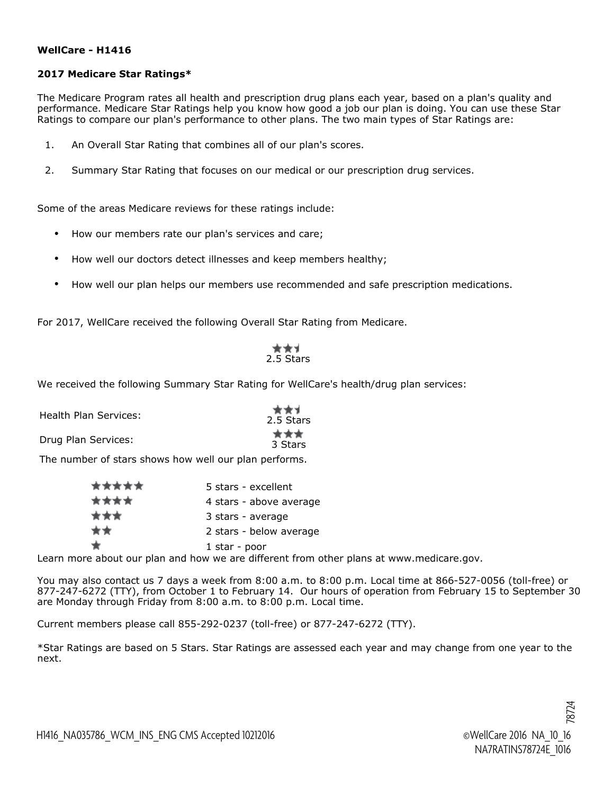## **WellCare - H1416**

## **2017 Medicare Star Ratings\***

The Medicare Program rates all health and prescription drug plans each year, based on a plan's quality and performance. Medicare Star Ratings help you know how good a job our plan is doing. You can use these Star Ratings to compare our plan's performance to other plans. The two main types of Star Ratings are:

- 1. An Overall Star Rating that combines all of our plan's scores.
- 2. Summary Star Rating that focuses on our medical or our prescription drug services.

Some of the areas Medicare reviews for these ratings include:

- How our members rate our plan's services and care;
- How well our doctors detect illnesses and keep members healthy;
- How well our plan helps our members use recommended and safe prescription medications.

For 2017, WellCare received the following Overall Star Rating from Medicare.

## $\bigstar$   $\bigstar$   $\bigstar$ 2.5 Stars

We received the following Summary Star Rating for WellCare's health/drug plan services:

| Health Plan Services: | 大大才<br>2.5 Stars |
|-----------------------|------------------|
| Drug Plan Services:   | 大大大<br>3 Stars   |

The number of stars shows how well our plan performs.

| ***** | 5 stars - excellent     |
|-------|-------------------------|
| ****  | 4 stars - above average |
| ***   | 3 stars - average       |
| **    | 2 stars - below average |
|       | 1 star - poor           |

Learn more about our plan and how we are different from other plans at www.medicare.gov.

You may also contact us 7 days a week from 8:00 a.m. to 8:00 p.m. Local time at 866-527-0056 (toll-free) or 877-247-6272 (TTY), from October 1 to February 14. Our hours of operation from February 15 to September 30 are Monday through Friday from 8:00 a.m. to 8:00 p.m. Local time.

Current members please call 855-292-0237 (toll-free) or 877-247-6272 (TTY).

\*Star Ratings are based on 5 Stars. Star Ratings are assessed each year and may change from one year to the next.